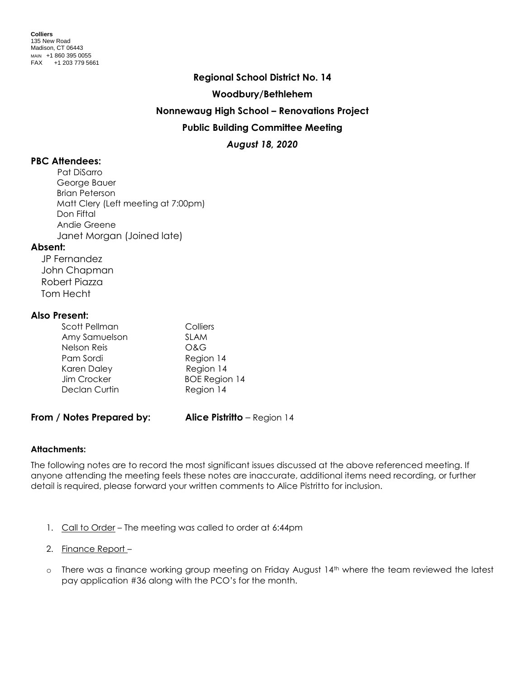### **Regional School District No. 14**

#### **Woodbury/Bethlehem**

### **Nonnewaug High School – Renovations Project**

## **Public Building Committee Meeting**

*August 18, 2020*

# **PBC Attendees:**

Pat DiSarro George Bauer Brian Peterson Matt Clery (Left meeting at 7:00pm) Don Fiftal Andie Greene Janet Morgan (Joined late)

### **Absent:**

 JP Fernandez John Chapman Robert Piazza Tom Hecht

### **Also Present:**

| Scott Pellman | Colliers             |
|---------------|----------------------|
| Amy Samuelson | <b>SLAM</b>          |
| Nelson Reis   | O&G                  |
| Pam Sordi     | Region 14            |
| Karen Daley   | Region 14            |
| Jim Crocker   | <b>BOE Region 14</b> |
| Declan Curtin | Region 14            |
|               |                      |

### **From / Notes Prepared by: Alice Pistritto** – Region 14

### **Attachments:**

The following notes are to record the most significant issues discussed at the above referenced meeting. If anyone attending the meeting feels these notes are inaccurate, additional items need recording, or further detail is required, please forward your written comments to Alice Pistritto for inclusion.

- 1. Call to Order The meeting was called to order at 6:44pm
- 2. Finance Report –
- o There was a finance working group meeting on Friday August 14<sup>th</sup> where the team reviewed the latest pay application #36 along with the PCO's for the month.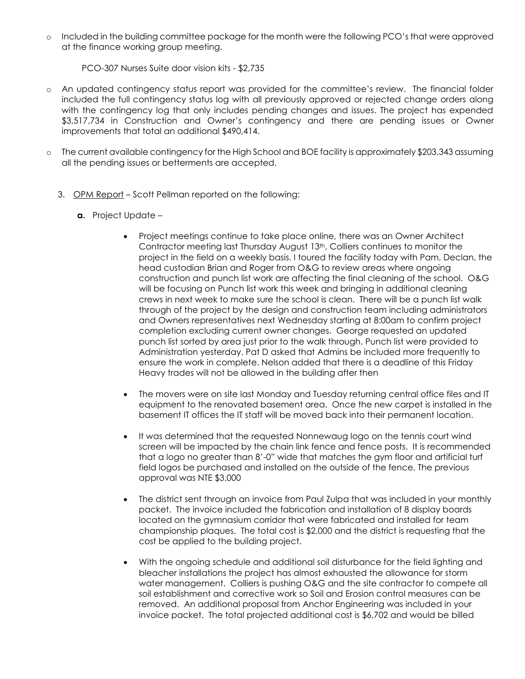o Included in the building committee package for the month were the following PCO's that were approved at the finance working group meeting.

PCO-307 Nurses Suite door vision kits - \$2,735

- o An updated contingency status report was provided for the committee's review. The financial folder included the full contingency status log with all previously approved or rejected change orders along with the contingency log that only includes pending changes and issues. The project has expended \$3,517,734 in Construction and Owner's contingency and there are pending issues or Owner improvements that total an additional \$490,414.
- o The current available contingency for the High School and BOE facility is approximately \$203,343 assuming all the pending issues or betterments are accepted.
	- 3. OPM Report Scott Pellman reported on the following:
		- **a.** Project Update
			- Project meetings continue to take place online, there was an Owner Architect Contractor meeting last Thursday August 13th, Colliers continues to monitor the project in the field on a weekly basis. I toured the facility today with Pam, Declan, the head custodian Brian and Roger from O&G to review areas where ongoing construction and punch list work are affecting the final cleaning of the school. O&G will be focusing on Punch list work this week and bringing in additional cleaning crews in next week to make sure the school is clean. There will be a punch list walk through of the project by the design and construction team including administrators and Owners representatives next Wednesday starting at 8:00am to confirm project completion excluding current owner changes. George requested an updated punch list sorted by area just prior to the walk through. Punch list were provided to Administration yesterday. Pat D asked that Admins be included more frequently to ensure the work in complete. Nelson added that there is a deadline of this Friday Heavy trades will not be allowed in the building after then
			- The movers were on site last Monday and Tuesday returning central office files and IT equipment to the renovated basement area. Once the new carpet is installed in the basement IT offices the IT staff will be moved back into their permanent location.
			- It was determined that the requested Nonnewaug logo on the tennis court wind screen will be impacted by the chain link fence and fence posts. It is recommended that a logo no greater than 8'-0" wide that matches the gym floor and artificial turf field logos be purchased and installed on the outside of the fence. The previous approval was NTE \$3,000
			- The district sent through an invoice from Paul Zulpa that was included in your monthly packet. The invoice included the fabrication and installation of 8 display boards located on the gymnasium corridor that were fabricated and installed for team championship plaques. The total cost is \$2,000 and the district is requesting that the cost be applied to the building project.
			- With the ongoing schedule and additional soil disturbance for the field lighting and bleacher installations the project has almost exhausted the allowance for storm water management. Colliers is pushing O&G and the site contractor to compete all soil establishment and corrective work so Soil and Erosion control measures can be removed. An additional proposal from Anchor Engineering was included in your invoice packet. The total projected additional cost is \$6,702 and would be billed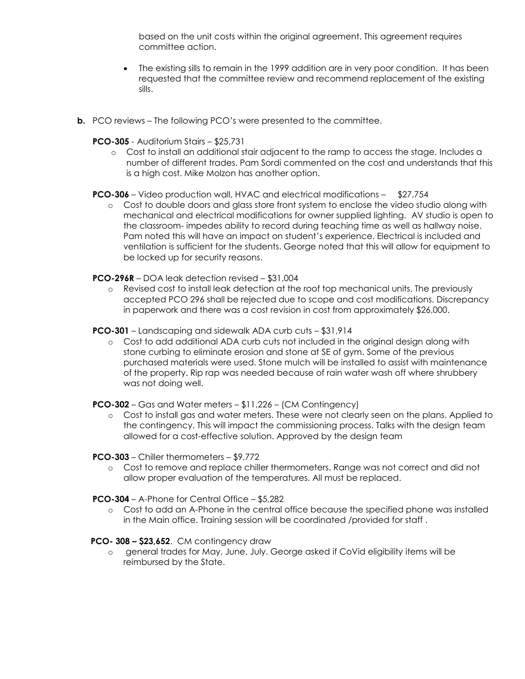based on the unit costs within the original agreement. This agreement requires committee action.

- The existing sills to remain in the 1999 addition are in very poor condition. It has been requested that the committee review and recommend replacement of the existing sills.
- **b.** PCO reviews The following PCO's were presented to the committee.
	- **PCO-305**  Auditorium Stairs \$25,731
		- o Cost to install an additional stair adjacent to the ramp to access the stage. Includes a number of different trades. Pam Sordi commented on the cost and understands that this is a high cost. Mike Molzon has another option.

**PCO-306** – Video production wall, HVAC and electrical modifications – \$27,754

o Cost to double doors and glass store front system to enclose the video studio along with mechanical and electrical modifications for owner supplied lighting. AV studio is open to the classroom- impedes ability to record during teaching time as well as hallway noise. Pam noted this will have an impact on student's experience. Electrical is included and ventilation is sufficient for the students. George noted that this will allow for equipment to be locked up for security reasons.

**PCO-296R** – DOA leak detection revised – \$31,004

o Revised cost to install leak detection at the roof top mechanical units. The previously accepted PCO 296 shall be rejected due to scope and cost modifications. Discrepancy in paperwork and there was a cost revision in cost from approximately \$26,000.

**PCO-301** – Landscaping and sidewalk ADA curb cuts – \$31,914

o Cost to add additional ADA curb cuts not included in the original design along with stone curbing to eliminate erosion and stone at SE of gym. Some of the previous purchased materials were used. Stone mulch will be installed to assist with maintenance of the property. Rip rap was needed because of rain water wash off where shrubbery was not doing well.

**PCO-302** – Gas and Water meters – \$11,226 – (CM Contingency)

o Cost to install gas and water meters. These were not clearly seen on the plans. Applied to the contingency. This will impact the commissioning process. Talks with the design team allowed for a cost-effective solution. Approved by the design team

**PCO-303** – Chiller thermometers – \$9,772

- o Cost to remove and replace chiller thermometers. Range was not correct and did not allow proper evaluation of the temperatures. All must be replaced.
- **PCO-304**  A-Phone for Central Office \$5,282
	- o Cost to add an A-Phone in the central office because the specified phone was installed in the Main office. Training session will be coordinated /provided for staff .

 **PCO- 308 – \$23,652**. CM contingency draw

o general trades for May, June, July. George asked if CoVid eligibility items will be reimbursed by the State.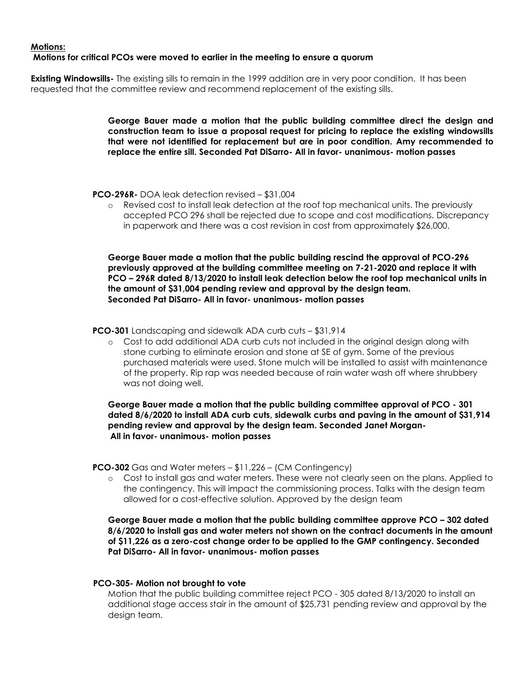### **Motions: Motions for critical PCOs were moved to earlier in the meeting to ensure a quorum**

**Existing Windowsills-** The existing sills to remain in the 1999 addition are in very poor condition. It has been requested that the committee review and recommend replacement of the existing sills.

> **George Bauer made a motion that the public building committee direct the design and construction team to issue a proposal request for pricing to replace the existing windowsills that were not identified for replacement but are in poor condition. Amy recommended to replace the entire sill. Seconded Pat DiSarro- All in favor- unanimous- motion passes**

**PCO-296R-** DOA leak detection revised – \$31,004

o Revised cost to install leak detection at the roof top mechanical units. The previously accepted PCO 296 shall be rejected due to scope and cost modifications. Discrepancy in paperwork and there was a cost revision in cost from approximately \$26,000.

**George Bauer made a motion that the public building rescind the approval of PCO-296 previously approved at the building committee meeting on 7-21-2020 and replace it with PCO – 296R dated 8/13/2020 to install leak detection below the roof top mechanical units in the amount of \$31,004 pending review and approval by the design team. Seconded Pat DiSarro- All in favor- unanimous- motion passes**

**PCO-301** Landscaping and sidewalk ADA curb cuts – \$31,914

o Cost to add additional ADA curb cuts not included in the original design along with stone curbing to eliminate erosion and stone at SE of gym. Some of the previous purchased materials were used. Stone mulch will be installed to assist with maintenance of the property. Rip rap was needed because of rain water wash off where shrubbery was not doing well.

**George Bauer made a motion that the public building committee approval of PCO - 301 dated 8/6/2020 to install ADA curb cuts, sidewalk curbs and paving in the amount of \$31,914 pending review and approval by the design team. Seconded Janet Morgan-All in favor- unanimous- motion passes**

**PCO-302** Gas and Water meters – \$11,226 – (CM Contingency)

o Cost to install gas and water meters. These were not clearly seen on the plans. Applied to the contingency. This will impact the commissioning process. Talks with the design team allowed for a cost-effective solution. Approved by the design team

**George Bauer made a motion that the public building committee approve PCO – 302 dated 8/6/2020 to install gas and water meters not shown on the contract documents in the amount of \$11,226 as a zero-cost change order to be applied to the GMP contingency. Seconded Pat DiSarro- All in favor- unanimous- motion passes**

### **PCO-305- Motion not brought to vote**

Motion that the public building committee reject PCO - 305 dated 8/13/2020 to install an additional stage access stair in the amount of \$25,731 pending review and approval by the design team.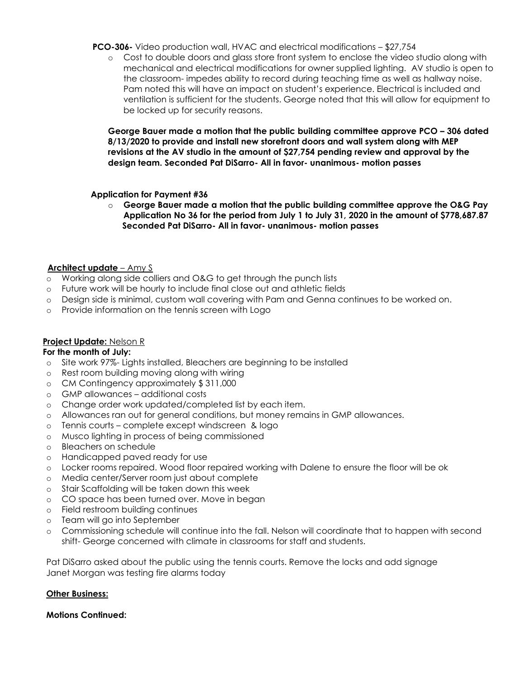**PCO-306-** Video production wall, HVAC and electrical modifications – \$27,754

o Cost to double doors and glass store front system to enclose the video studio along with mechanical and electrical modifications for owner supplied lighting. AV studio is open to the classroom- impedes ability to record during teaching time as well as hallway noise. Pam noted this will have an impact on student's experience. Electrical is included and ventilation is sufficient for the students. George noted that this will allow for equipment to be locked up for security reasons.

**George Bauer made a motion that the public building committee approve PCO – 306 dated 8/13/2020 to provide and install new storefront doors and wall system along with MEP revisions at the AV studio in the amount of \$27,754 pending review and approval by the design team. Seconded Pat DiSarro- All in favor- unanimous- motion passes**

 **Application for Payment #36**

o **George Bauer made a motion that the public building committee approve the O&G Pay Application No 36 for the period from July 1 to July 31, 2020 in the amount of \$778,687.87 Seconded Pat DiSarro- All in favor- unanimous- motion passes**

### **Architect update** – Amy S

- o Working along side colliers and O&G to get through the punch lists
- o Future work will be hourly to include final close out and athletic fields
- o Design side is minimal, custom wall covering with Pam and Genna continues to be worked on.
- o Provide information on the tennis screen with Logo

# **Project Update:** Nelson R

### **For the month of July:**

- o Site work 97%- Lights installed, Bleachers are beginning to be installed
- o Rest room building moving along with wiring
- o CM Contingency approximately \$ 311,000
- o GMP allowances additional costs
- o Change order work updated/completed list by each item.
- o Allowances ran out for general conditions, but money remains in GMP allowances.
- o Tennis courts complete except windscreen & logo
- o Musco lighting in process of being commissioned
- o Bleachers on schedule
- o Handicapped paved ready for use
- o Locker rooms repaired. Wood floor repaired working with Dalene to ensure the floor will be ok
- o Media center/Server room just about complete
- o Stair Scaffolding will be taken down this week
- o CO space has been turned over. Move in began
- o Field restroom building continues
- o Team will go into September
- o Commissioning schedule will continue into the fall. Nelson will coordinate that to happen with second shift- George concerned with climate in classrooms for staff and students.

Pat DiSarro asked about the public using the tennis courts. Remove the locks and add signage Janet Morgan was testing fire alarms today

### **Other Business:**

### **Motions Continued:**